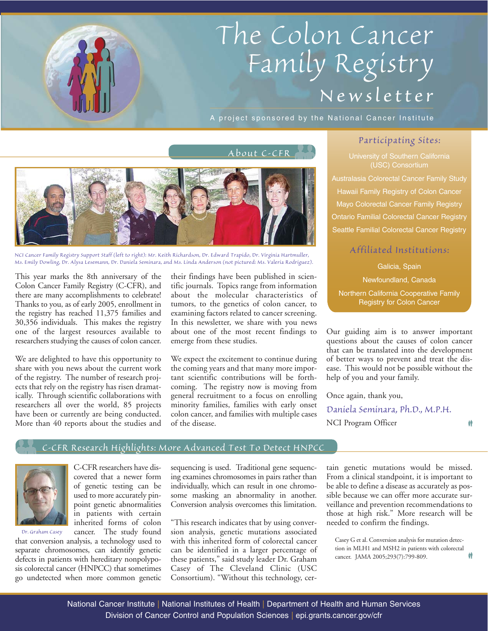# *The Colon Cancer Family Registry Newsletter*

A project sponsored by the National Cancer Institute



*NCI Cancer Family Registry Support Staff (left to right): Mr. Keith Richardson, Dr. Edward Trapido, Dr. Virginia Hartmuller, Ms. Emily Dowling, Dr. Alysa Lesemann, Dr. Daniela Seminara, and Ms. Linda Anderson (not pictured: Ms. Valeria Rodriguez).* 

This year marks the 8th anniversary of the Colon Cancer Family Registry (C-CFR), and there are many accomplishments to celebrate! Thanks to you, as of early 2005, enrollment in the registry has reached 11,375 families and 30,356 individuals. This makes the registry one of the largest resources available to researchers studying the causes of colon cancer.

We are delighted to have this opportunity to share with you news about the current work of the registry. The number of research projects that rely on the registry has risen dramatically. Through scientific collaborations with researchers all over the world, 85 projects have been or currently are being conducted. More than 40 reports about the studies and their findings have been published in scientific journals. Topics range from information about the molecular characteristics of tumors, to the genetics of colon cancer, to examining factors related to cancer screening. In this newsletter, we share with you news about one of the most recent findings to emerge from these studies.

We expect the excitement to continue during the coming years and that many more important scientific contributions will be forthcoming. The registry now is moving from general recruitment to a focus on enrolling minority families, families with early onset colon cancer, and families with multiple cases of the disease.

## *Participating Sites:*

(USC) Consortium Australasia Colorectal Cancer Family Study Hawaii Family Registry of Colon Cancer Mayo Colorectal Cancer Family Registry Ontario Familial Colorectal Cancer Registry Seattle Familial Colorectal Cancer Registry

# *Affiliated Institutions:*

Galicia, Spain Newfoundland, Canada Northern California Cooperative Family Registry for Colon Cancer

Our guiding aim is to answer important questions about the causes of colon cancer that can be translated into the development of better ways to prevent and treat the disease. This would not be possible without the help of you and your family.

枾

Once again, thank you, *Daniela Seminara, Ph.D., M.P.H.* NCI Program Officer

## *C-CFR Research Highlights: More Advanced Test To Detect HNPCC*



*Dr. Graham Casey*

C-CFR researchers have discovered that a newer form of genetic testing can be used to more accurately pinpoint genetic abnormalities in patients with certain inherited forms of colon cancer. The study found

that conversion analysis, a technology used to separate chromosomes, can identify genetic defects in patients with hereditary nonpolyposis colorectal cancer (HNPCC) that sometimes go undetected when more common genetic sequencing is used. Traditional gene sequencing examines chromosomes in pairs rather than individually, which can result in one chromosome masking an abnormality in another. Conversion analysis overcomes this limitation.

"This research indicates that by using conversion analysis, genetic mutations associated with this inherited form of colorectal cancer can be identified in a larger percentage of these patients," said study leader Dr. Graham Casey of The Cleveland Clinic (USC Consortium). "Without this technology, cer-

tain genetic mutations would be missed. From a clinical standpoint, it is important to be able to define a disease as accurately as possible because we can offer more accurate surveillance and prevention recommendations to those at high risk." More research will be needed to confirm the findings.

Casey G et al. Conversion analysis for mutation detection in MLH1 and MSH2 in patients with colorectal cancer. JAMA 2005;293(7):799-809.